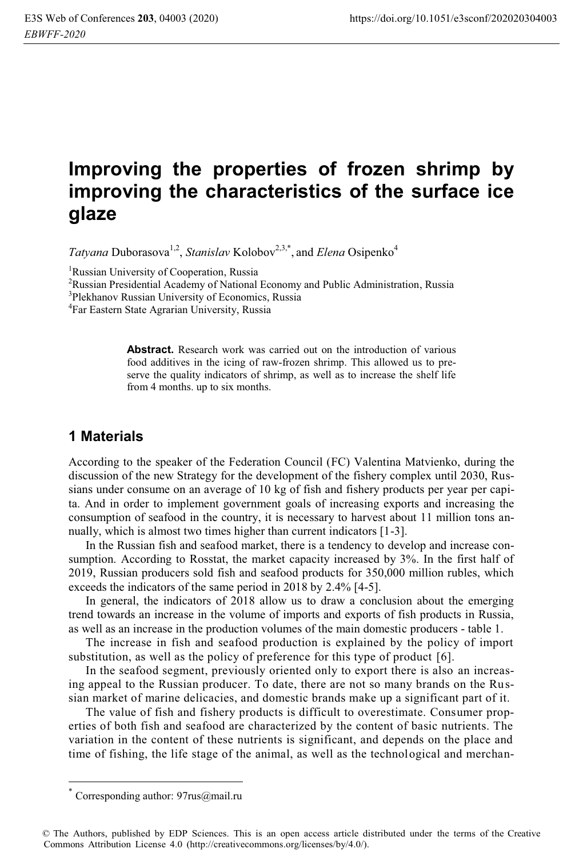# **Improving the properties of frozen shrimp by improving the characteristics of the surface ice glaze**

*Tatyana Duborasova*<sup>1,2</sup>, *Stanislav* Kolobov<sup>2,3,\*</sup>, and *Elena* Osipenko<sup>4</sup>

<sup>1</sup>Russian University of Cooperation, Russia<br><sup>2</sup>Russian Presidential Academy of National

<sup>2</sup>Russian Presidential Academy of National Economy and Public Administration, Russia

<sup>3</sup>Plekhanov Russian University of Economics, Russia

<sup>4</sup>Far Eastern State Agrarian University, Russia

**Abstract.** Research work was carried out on the introduction of various food additives in the icing of raw-frozen shrimp. This allowed us to preserve the quality indicators of shrimp, as well as to increase the shelf life from 4 months. up to six months.

## **1 Materials**

According to the speaker of the Federation Council (FC) Valentina Matvienko, during the discussion of the new Strategy for the development of the fishery complex until 2030, Russians under consume on an average of 10 kg of fish and fishery products per year per capita. And in order to implement government goals of increasing exports and increasing the consumption of seafood in the country, it is necessary to harvest about 11 million tons annually, which is almost two times higher than current indicators [1-3].

In the Russian fish and seafood market, there is a tendency to develop and increase consumption. According to Rosstat, the market capacity increased by 3%. In the first half of 2019, Russian producers sold fish and seafood products for 350,000 million rubles, which exceeds the indicators of the same period in 2018 by 2.4% [4-5].

In general, the indicators of 2018 allow us to draw a conclusion about the emerging trend towards an increase in the volume of imports and exports of fish products in Russia, as well as an increase in the production volumes of the main domestic producers - table 1.

The increase in fish and seafood production is explained by the policy of import substitution, as well as the policy of preference for this type of product [6].

In the seafood segment, previously oriented only to export there is also an increasing appeal to the Russian producer. To date, there are not so many brands on the Russian market of marine delicacies, and domestic brands make up a significant part of it.

The value of fish and fishery products is difficult to overestimate. Consumer properties of both fish and seafood are characterized by the content of basic nutrients. The variation in the content of these nutrients is significant, and depends on the place and time of fishing, the life stage of the animal, as well as the technological and merchan-

 $\overline{a}$ 

Corresponding author: 97rus@mail.ru

<sup>©</sup> The Authors, published by EDP Sciences. This is an open access article distributed under the terms of the Creative Commons Attribution License 4.0 (http://creativecommons.org/licenses/by/4.0/).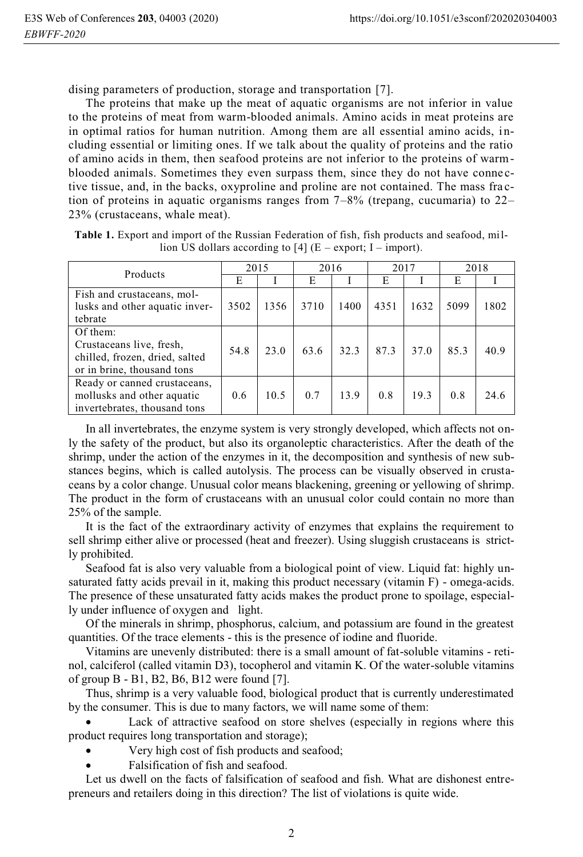dising parameters of production, storage and transportation [7].

The proteins that make up the meat of aquatic organisms are not inferior in value to the proteins of meat from warm-blooded animals. Amino acids in meat proteins are in optimal ratios for human nutrition. Among them are all essential amino acids, including essential or limiting ones. If we talk about the quality of proteins and the ratio of amino acids in them, then seafood proteins are not inferior to the proteins of warmblooded animals. Sometimes they even surpass them, since they do not have conne ctive tissue, and, in the backs, oxyproline and proline are not contained. The mass fra ction of proteins in aquatic organisms ranges from  $7-8\%$  (trepang, cucumaria) to  $22-$ 23% (crustaceans, whale meat).

| <b>Table 1.</b> Export and import of the Russian Federation of fish, fish products and seafood, mil- |  |  |  |
|------------------------------------------------------------------------------------------------------|--|--|--|
| lion US dollars according to [4] $(E -$ export; I – import).                                         |  |  |  |

| Products                       | 2015 |      | 2016 |      | 2017 |      | 2018 |      |
|--------------------------------|------|------|------|------|------|------|------|------|
|                                | E    |      | E    |      | E    |      | E    |      |
| Fish and crustaceans, mol-     |      |      |      |      |      |      |      |      |
| lusks and other aquatic inver- | 3502 | 1356 | 3710 | 1400 | 4351 | 1632 | 5099 | 1802 |
| tebrate                        |      |      |      |      |      |      |      |      |
| Of them:                       |      |      |      |      |      |      |      |      |
| Crustaceans live, fresh,       | 54.8 | 23.0 | 63.6 | 32.3 | 87.3 | 37.0 | 85.3 | 40.9 |
| chilled, frozen, dried, salted |      |      |      |      |      |      |      |      |
| or in brine, thousand tons     |      |      |      |      |      |      |      |      |
| Ready or canned crustaceans,   |      |      |      |      |      |      |      |      |
| mollusks and other aquatic     | 0.6  | 10.5 | 0.7  | 13.9 | 0.8  | 19.3 | 0.8  | 24.6 |
| invertebrates, thousand tons   |      |      |      |      |      |      |      |      |

In all invertebrates, the enzyme system is very strongly developed, which affects not only the safety of the product, but also its organoleptic characteristics. After the death of the shrimp, under the action of the enzymes in it, the decomposition and synthesis of new substances begins, which is called autolysis. The process can be visually observed in crustaceans by a color change. Unusual color means blackening, greening or yellowing of shrimp. The product in the form of crustaceans with an unusual color could contain no more than 25% of the sample.

It is the fact of the extraordinary activity of enzymes that explains the requirement to sell shrimp either alive or processed (heat and freezer). Using sluggish crustaceans is strictly prohibited.

Seafood fat is also very valuable from a biological point of view. Liquid fat: highly unsaturated fatty acids prevail in it, making this product necessary (vitamin F) - omega-acids. The presence of these unsaturated fatty acids makes the product prone to spoilage, especially under influence of oxygen and light.

Of the minerals in shrimp, phosphorus, calcium, and potassium are found in the greatest quantities. Of the trace elements - this is the presence of iodine and fluoride.

Vitamins are unevenly distributed: there is a small amount of fat-soluble vitamins - retinol, calciferol (called vitamin D3), tocopherol and vitamin K. Of the water-soluble vitamins of group B - B1, B2, B6, B12 were found [7].

Thus, shrimp is a very valuable food, biological product that is currently underestimated by the consumer. This is due to many factors, we will name some of them:

- Lack of attractive seafood on store shelves (especially in regions where this product requires long transportation and storage);

- -Very high cost of fish products and seafood;
- -Falsification of fish and seafood.

Let us dwell on the facts of falsification of seafood and fish. What are dishonest entrepreneurs and retailers doing in this direction? The list of violations is quite wide.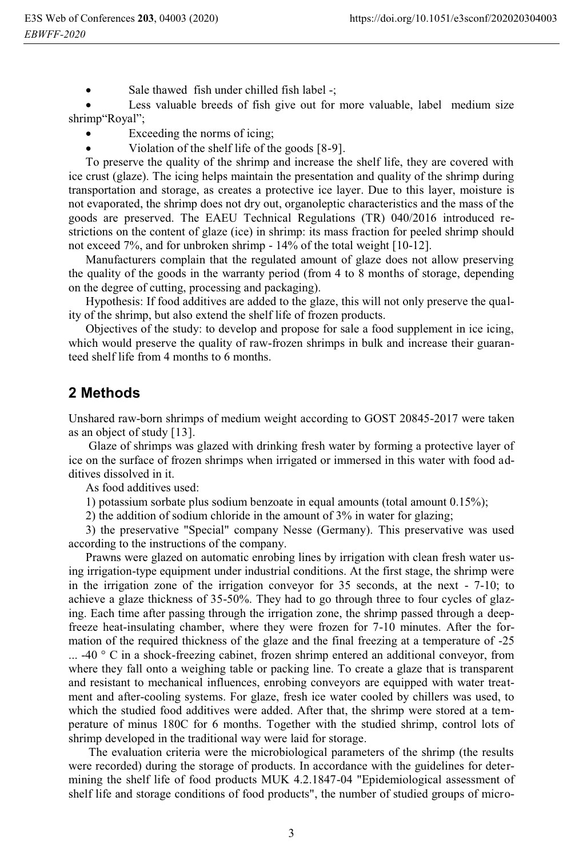-Sale thawed fish under chilled fish label -;

- Less valuable breeds of fish give out for more valuable, label medium size shrimp"Royal";

- -Exceeding the norms of icing;
- -Violation of the shelf life of the goods [8-9].

To preserve the quality of the shrimp and increase the shelf life, they are covered with ice crust (glaze). The icing helps maintain the presentation and quality of the shrimp during transportation and storage, as creates a protective ice layer. Due to this layer, moisture is not evaporated, the shrimp does not dry out, organoleptic characteristics and the mass of the goods are preserved. The EAEU Technical Regulations (TR) 040/2016 introduced restrictions on the content of glaze (ice) in shrimp: its mass fraction for peeled shrimp should not exceed 7%, and for unbroken shrimp - 14% of the total weight [10-12].

Manufacturers complain that the regulated amount of glaze does not allow preserving the quality of the goods in the warranty period (from 4 to 8 months of storage, depending on the degree of cutting, processing and packaging).

Hypothesis: If food additives are added to the glaze, this will not only preserve the quality of the shrimp, but also extend the shelf life of frozen products.

Objectives of the study: to develop and propose for sale a food supplement in ice icing, which would preserve the quality of raw-frozen shrimps in bulk and increase their guaranteed shelf life from 4 months to 6 months.

#### **2 Methods**

Unshared raw-born shrimps of medium weight according to GOST 20845-2017 were taken as an object of study [13].

 Glaze of shrimps was glazed with drinking fresh water by forming a protective layer of ice on the surface of frozen shrimps when irrigated or immersed in this water with food additives dissolved in it.

As food additives used:

1) potassium sorbate plus sodium benzoate in equal amounts (total amount 0.15%);

2) the addition of sodium chloride in the amount of 3% in water for glazing;

3) the preservative "Special" company Nesse (Germany). This preservative was used according to the instructions of the company.

Prawns were glazed on automatic enrobing lines by irrigation with clean fresh water using irrigation-type equipment under industrial conditions. At the first stage, the shrimp were in the irrigation zone of the irrigation conveyor for 35 seconds, at the next - 7-10; to achieve a glaze thickness of 35-50%. They had to go through three to four cycles of glazing. Each time after passing through the irrigation zone, the shrimp passed through a deepfreeze heat-insulating chamber, where they were frozen for 7-10 minutes. After the formation of the required thickness of the glaze and the final freezing at a temperature of -25 ... -40 ° C in a shock-freezing cabinet, frozen shrimp entered an additional conveyor, from where they fall onto a weighing table or packing line. To create a glaze that is transparent and resistant to mechanical influences, enrobing conveyors are equipped with water treatment and after-cooling systems. For glaze, fresh ice water cooled by chillers was used, to which the studied food additives were added. After that, the shrimp were stored at a temperature of minus 180C for 6 months. Together with the studied shrimp, control lots of shrimp developed in the traditional way were laid for storage.

 The evaluation criteria were the microbiological parameters of the shrimp (the results were recorded) during the storage of products. In accordance with the guidelines for determining the shelf life of food products MUK 4.2.1847-04 "Epidemiological assessment of shelf life and storage conditions of food products", the number of studied groups of micro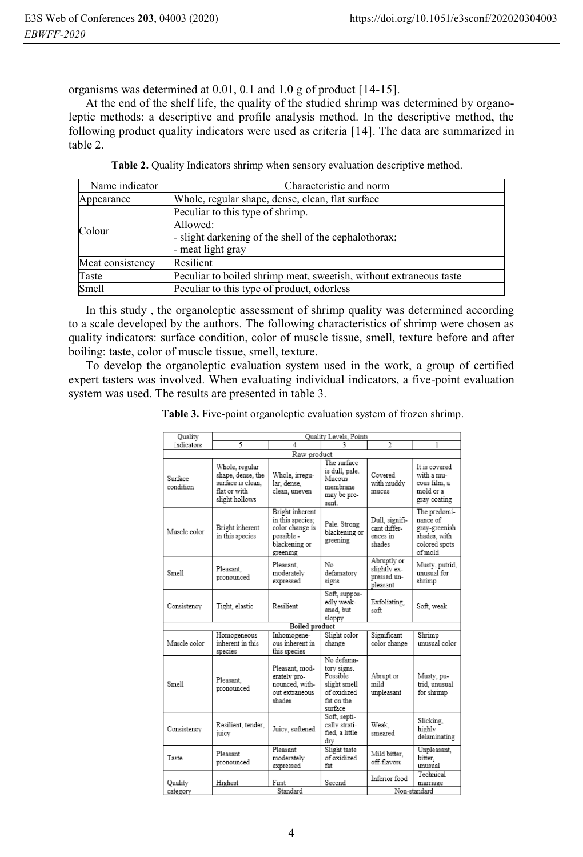organisms was determined at 0.01, 0.1 and 1.0 g of product [14-15].

At the end of the shelf life, the quality of the studied shrimp was determined by organoleptic methods: a descriptive and profile analysis method. In the descriptive method, the following product quality indicators were used as criteria [14]. The data are summarized in table 2.

|  | Table 2. Quality Indicators shrimp when sensory evaluation descriptive method. |  |  |  |
|--|--------------------------------------------------------------------------------|--|--|--|
|--|--------------------------------------------------------------------------------|--|--|--|

| Name indicator   | Characteristic and norm                                                                                                    |  |  |  |  |
|------------------|----------------------------------------------------------------------------------------------------------------------------|--|--|--|--|
| Appearance       | Whole, regular shape, dense, clean, flat surface                                                                           |  |  |  |  |
| Colour           | Peculiar to this type of shrimp.<br>Allowed:<br>- slight darkening of the shell of the cephalothorax;<br>- meat light gray |  |  |  |  |
| Meat consistency | Resilient                                                                                                                  |  |  |  |  |
| Taste            | Peculiar to boiled shrimp meat, sweetish, without extraneous taste                                                         |  |  |  |  |
| Smell            | Peculiar to this type of product, odorless                                                                                 |  |  |  |  |

In this study , the organoleptic assessment of shrimp quality was determined according to a scale developed by the authors. The following characteristics of shrimp were chosen as quality indicators: surface condition, color of muscle tissue, smell, texture before and after boiling: taste, color of muscle tissue, smell, texture.

To develop the organoleptic evaluation system used in the work, a group of certified expert tasters was involved. When evaluating individual indicators, a five-point evaluation system was used. The results are presented in table 3.

**Table 3.** Five-point organoleptic evaluation system of frozen shrimp.

| Quality              | Quality Levels, Points                                                                     |                                                                                                   |                                                                                               |                                                        |                                                                                       |  |  |  |
|----------------------|--------------------------------------------------------------------------------------------|---------------------------------------------------------------------------------------------------|-----------------------------------------------------------------------------------------------|--------------------------------------------------------|---------------------------------------------------------------------------------------|--|--|--|
| indicators           | 5                                                                                          | 4                                                                                                 |                                                                                               | $\overline{\mathfrak{D}}$                              | 1                                                                                     |  |  |  |
| Raw product          |                                                                                            |                                                                                                   |                                                                                               |                                                        |                                                                                       |  |  |  |
| Surface<br>condition | Whole, regular<br>shape, dense, the<br>surface is clean.<br>flat or with<br>slight hollows | Whole, irregu-<br>lar, dense,<br>clean, uneven                                                    | The surface<br>is dull, pale.<br>Mucous<br>membrane<br>may be pre-<br>sent.                   | Covered<br>with muddy<br>mucus                         | It is covered<br>with a mu-<br>cous film, a<br>mold or a<br>gray coating              |  |  |  |
| Muscle color         | Bright inherent<br>in this species                                                         | Bright inherent<br>in this species:<br>color change is<br>possible -<br>blackening or<br>greening | Pale. Strong<br>blackening or<br>greening                                                     | Dull, signifi-<br>cant differ-<br>ences in<br>shades   | The predomi-<br>nance of<br>gray-greenish<br>shades, with<br>colored spots<br>of mold |  |  |  |
| Smell                | Pleasant.<br>pronounced                                                                    | Pleasant.<br>moderately<br>expressed                                                              | No<br>defamatory<br>signs                                                                     | Abruptly or<br>slightly ex-<br>pressed un-<br>pleasant | Musty, putrid,<br>unusual for<br>shrimp                                               |  |  |  |
| Consistency          | Tight, elastic                                                                             | Resilient                                                                                         | Soft, suppos-<br>edly weak-<br>ened, but<br>sloppy                                            | Exfoliating,<br>aoft                                   | Soft. weak                                                                            |  |  |  |
|                      | <b>Boiled product</b>                                                                      |                                                                                                   |                                                                                               |                                                        |                                                                                       |  |  |  |
| Muscle color         | Homogeneous<br>inherent in this<br>species                                                 | Inhomogene-<br>ous inherent in<br>this species                                                    | Slight color<br>change                                                                        | Significant<br>color change                            | Shrimp<br>unusual color                                                               |  |  |  |
| Smell                | Pleasant.<br>pronounced                                                                    | Pleasant, mod-<br>erately pro-<br>nounced, with-<br>out extraneous<br>shades                      | No defama-<br>tory signs.<br>Possible<br>slight smell<br>of oxidized<br>fat on the<br>surface | Abrupt or<br>mild<br>unpleasant                        | Musty, pu-<br>trid, unusual<br>for shrimp                                             |  |  |  |
| Consistency          | Resilient, tender,<br>juicy                                                                | Juicy, softened                                                                                   | Soft. septi-<br>cally strati-<br>fied, a little<br>drv                                        | Weak.<br>smeared                                       | Slicking.<br>highly<br>delaminating                                                   |  |  |  |
| Taste                | Pleasant<br>pronounced                                                                     | Pleasant<br>moderately<br>expressed                                                               | Slight taste<br>of oxidized<br>fat                                                            | Mild bitter.<br>off-flavors                            | Unpleasant,<br>bitter.<br>unusual                                                     |  |  |  |
| Quality<br>category  | Highest                                                                                    | First<br>Standard                                                                                 | Second                                                                                        | Inferior food                                          | Technical<br>marriage<br>Non-standard                                                 |  |  |  |
|                      |                                                                                            |                                                                                                   |                                                                                               |                                                        |                                                                                       |  |  |  |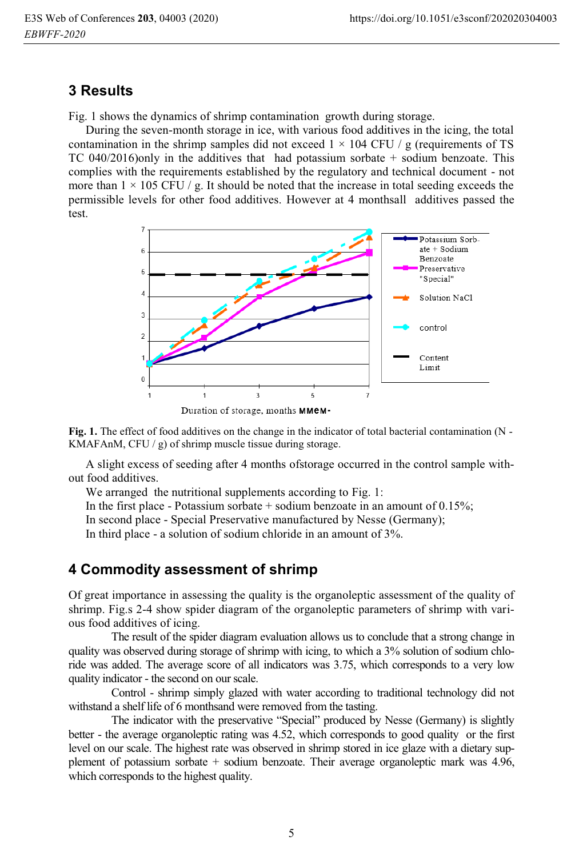#### **3 Results**

Fig. 1 shows the dynamics of shrimp contamination growth during storage.

During the seven-month storage in ice, with various food additives in the icing, the total contamination in the shrimp samples did not exceed  $1 \times 104$  CFU / g (requirements of TS ТС 040/2016)only in the additives that had potassium sorbate + sodium benzoate. This complies with the requirements established by the regulatory and technical document - not more than  $1 \times 105$  CFU / g. It should be noted that the increase in total seeding exceeds the permissible levels for other food additives. However at 4 monthsall additives passed the test.





**Fig. 1.** The effect of food additives on the change in the indicator of total bacterial contamination (N - KMAFAnM, CFU  $/g$ ) of shrimp muscle tissue during storage.

A slight excess of seeding after 4 months ofstorage occurred in the control sample without food additives.

We arranged the nutritional supplements according to Fig. 1:

In the first place - Potassium sorbate  $+$  sodium benzoate in an amount of 0.15%;

In second place - Special Preservative manufactured by Nesse (Germany);

In third place - a solution of sodium chloride in an amount of 3%.

#### **4 Commodity assessment of shrimp**

Of great importance in assessing the quality is the organoleptic assessment of the quality of shrimp. Fig.s 2-4 show spider diagram of the organoleptic parameters of shrimp with various food additives of icing.

The result of the spider diagram evaluation allows us to conclude that a strong change in quality was observed during storage of shrimp with icing, to which a 3% solution of sodium chloride was added. The average score of all indicators was 3.75, which corresponds to a very low quality indicator - the second on our scale.

Control - shrimp simply glazed with water according to traditional technology did not withstand a shelf life of 6 monthsand were removed from the tasting.

The indicator with the preservative "Special" produced by Nesse (Germany) is slightly better - the average organoleptic rating was 4.52, which corresponds to good quality or the first level on our scale. The highest rate was observed in shrimp stored in ice glaze with a dietary supplement of potassium sorbate + sodium benzoate. Their average organoleptic mark was 4.96, which corresponds to the highest quality.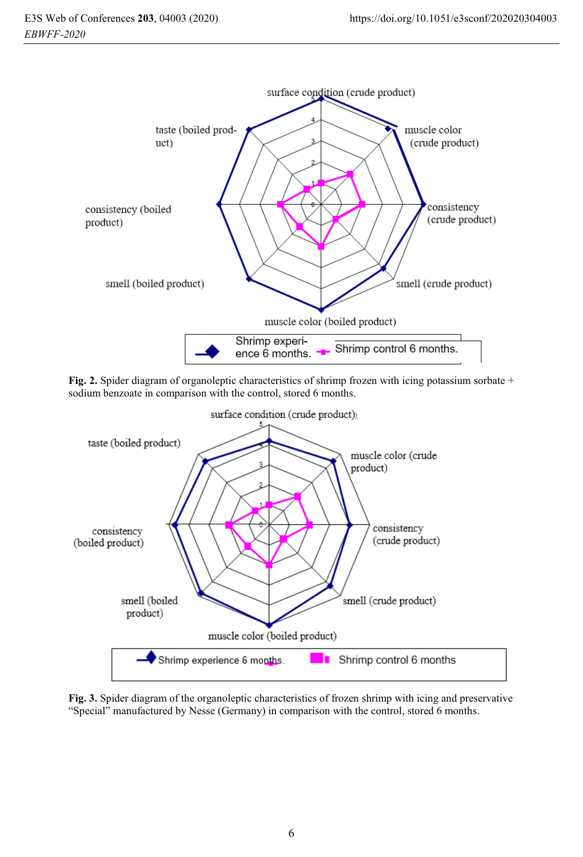

**Fig. 2.** Spider diagram of organoleptic characteristics of shrimp frozen with icing potassium sorbate + sodium benzoate in comparison with the control, stored 6 months.



**Fig. 3.** Spider diagram of the organoleptic characteristics of frozen shrimp with icing and preservative "Special" manufactured by Nesse (Germany) in comparison with the control, stored 6 months.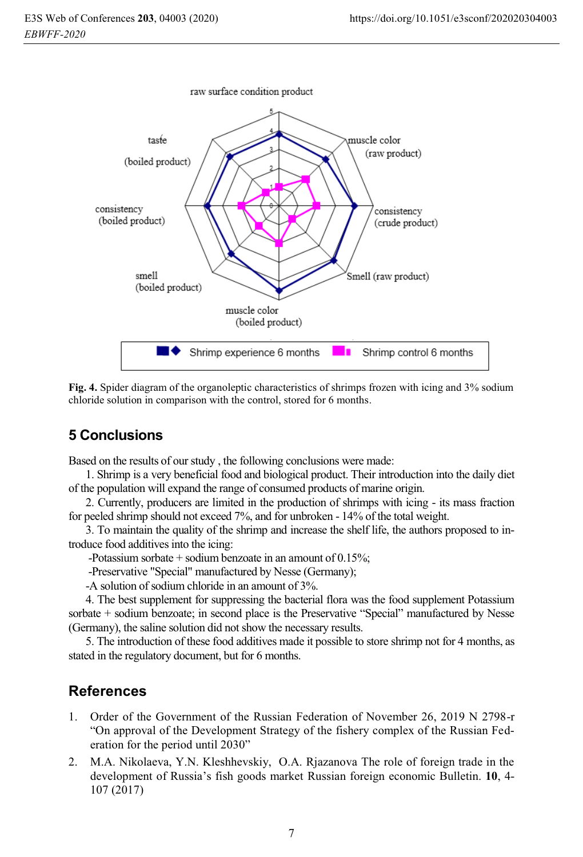

**Fig. 4.** Spider diagram of the organoleptic characteristics of shrimps frozen with icing and 3% sodium chloride solution in comparison with the control, stored for 6 months.

# **5 Conclusions**

Based on the results of our study , the following conclusions were made:

1. Shrimp is a very beneficial food and biological product. Their introduction into the daily diet of the population will expand the range of consumed products of marine origin.

2. Currently, producers are limited in the production of shrimps with icing - its mass fraction for peeled shrimp should not exceed 7%, and for unbroken - 14% of the total weight.

3. To maintain the quality of the shrimp and increase the shelf life, the authors proposed to introduce food additives into the icing:

-Potassium sorbate + sodium benzoate in an amount of 0.15%;

-Preservative "Special" manufactured by Nesse (Germany);

-A solution of sodium chloride in an amount of 3%.

4. The best supplement for suppressing the bacterial flora was the food supplement Potassium sorbate + sodium benzoate; in second place is the Preservative "Special" manufactured by Nesse (Germany), the saline solution did not show the necessary results.

5. The introduction of these food additives made it possible to store shrimp not for 4 months, as stated in the regulatory document, but for 6 months.

## **References**

- 1. Order of the Government of the Russian Federation of November 26, 2019 N 2798-r "On approval of the Development Strategy of the fishery complex of the Russian Federation for the period until 2030"
- 2. M.A. Nikolaeva, Y.N. Kleshhevskiy, O.A. Rjazanova The role of foreign trade in the development of Russia's fish goods market Russian foreign economic Bulletin. **10**, 4- 107 (2017)